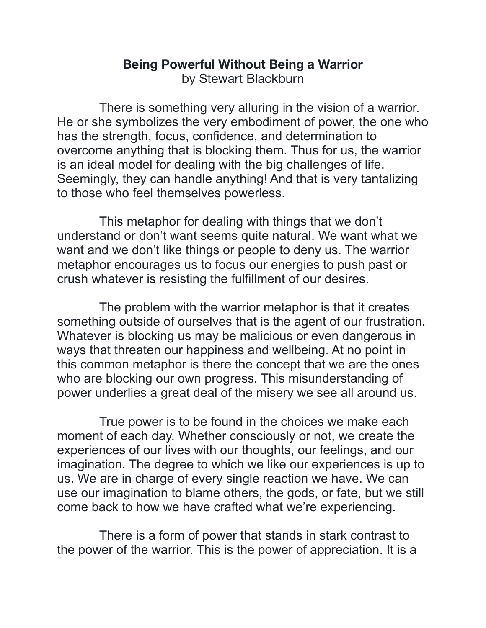## **Being Powerful Without Being a Warrior**  by Stewart Blackburn

 There is something very alluring in the vision of a warrior. He or she symbolizes the very embodiment of power, the one who has the strength, focus, confidence, and determination to overcome anything that is blocking them. Thus for us, the warrior is an ideal model for dealing with the big challenges of life. Seemingly, they can handle anything! And that is very tantalizing to those who feel themselves powerless.

 This metaphor for dealing with things that we don't understand or don't want seems quite natural. We want what we want and we don't like things or people to deny us. The warrior metaphor encourages us to focus our energies to push past or crush whatever is resisting the fulfillment of our desires.

 The problem with the warrior metaphor is that it creates something outside of ourselves that is the agent of our frustration. Whatever is blocking us may be malicious or even dangerous in ways that threaten our happiness and wellbeing. At no point in this common metaphor is there the concept that we are the ones who are blocking our own progress. This misunderstanding of power underlies a great deal of the misery we see all around us.

 True power is to be found in the choices we make each moment of each day. Whether consciously or not, we create the experiences of our lives with our thoughts, our feelings, and our imagination. The degree to which we like our experiences is up to us. We are in charge of every single reaction we have. We can use our imagination to blame others, the gods, or fate, but we still come back to how we have crafted what we're experiencing.

 There is a form of power that stands in stark contrast to the power of the warrior. This is the power of appreciation. It is a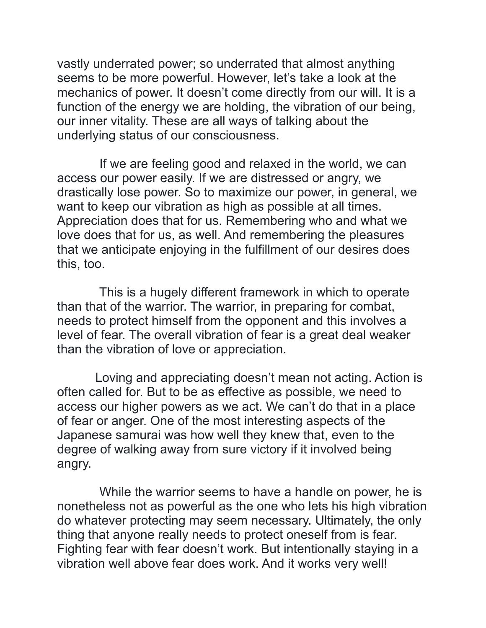vastly underrated power; so underrated that almost anything seems to be more powerful. However, let's take a look at the mechanics of power. It doesn't come directly from our will. It is a function of the energy we are holding, the vibration of our being, our inner vitality. These are all ways of talking about the underlying status of our consciousness.

 If we are feeling good and relaxed in the world, we can access our power easily. If we are distressed or angry, we drastically lose power. So to maximize our power, in general, we want to keep our vibration as high as possible at all times. Appreciation does that for us. Remembering who and what we love does that for us, as well. And remembering the pleasures that we anticipate enjoying in the fulfillment of our desires does this, too.

 This is a hugely different framework in which to operate than that of the warrior. The warrior, in preparing for combat, needs to protect himself from the opponent and this involves a level of fear. The overall vibration of fear is a great deal weaker than the vibration of love or appreciation.

Loving and appreciating doesn't mean not acting. Action is often called for. But to be as effective as possible, we need to access our higher powers as we act. We can't do that in a place of fear or anger. One of the most interesting aspects of the Japanese samurai was how well they knew that, even to the degree of walking away from sure victory if it involved being angry.

 While the warrior seems to have a handle on power, he is nonetheless not as powerful as the one who lets his high vibration do whatever protecting may seem necessary. Ultimately, the only thing that anyone really needs to protect oneself from is fear. Fighting fear with fear doesn't work. But intentionally staying in a vibration well above fear does work. And it works very well!